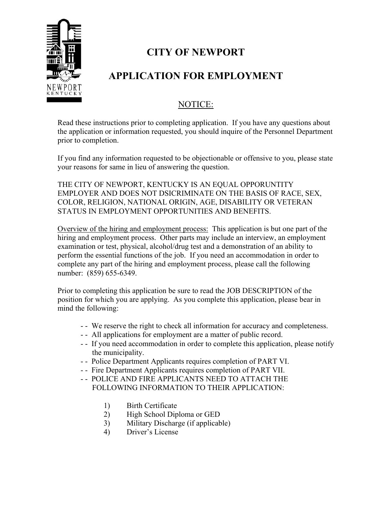

# **CITY OF NEWPORT**

# **APPLICATION FOR EMPLOYMENT**

# NOTICE:

Read these instructions prior to completing application. If you have any questions about the application or information requested, you should inquire of the Personnel Department prior to completion.

If you find any information requested to be objectionable or offensive to you, please state your reasons for same in lieu of answering the question.

THE CITY OF NEWPORT, KENTUCKY IS AN EQUAL OPPORUNTITY EMPLOYER AND DOES NOT DSICRIMINATE ON THE BASIS OF RACE, SEX, COLOR, RELIGION, NATIONAL ORIGIN, AGE, DISABILITY OR VETERAN STATUS IN EMPLOYMENT OPPORTUNITIES AND BENEFITS.

Overview of the hiring and employment process: This application is but one part of the hiring and employment process. Other parts may include an interview, an employment examination or test, physical, alcohol/drug test and a demonstration of an ability to perform the essential functions of the job. If you need an accommodation in order to complete any part of the hiring and employment process, please call the following number: (859) 655-6349.

Prior to completing this application be sure to read the JOB DESCRIPTION of the position for which you are applying. As you complete this application, please bear in mind the following:

- - We reserve the right to check all information for accuracy and completeness.
- - All applications for employment are a matter of public record.
- - If you need accommodation in order to complete this application, please notify the municipality.
- - Police Department Applicants requires completion of PART VI.
- - Fire Department Applicants requires completion of PART VII.
- -- POLICE AND FIRE APPLICANTS NEED TO ATTACH THE FOLLOWING INFORMATION TO THEIR APPLICATION:
	- 1) Birth Certificate
	- 2) High School Diploma or GED
	- 3) Military Discharge (if applicable)
	- 4) Driver's License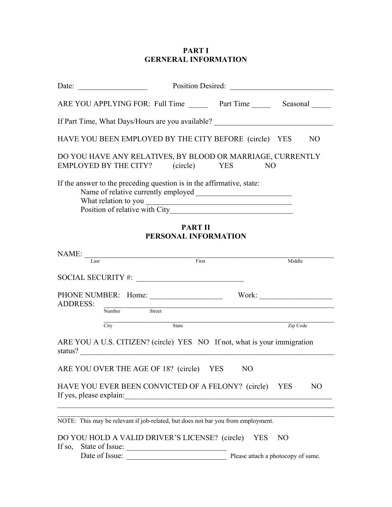# **PART I GERNERAL INFORMATION**

|                 | Date: $\qquad \qquad \qquad$                                                                     |                                        | Position Desired: |                                    |
|-----------------|--------------------------------------------------------------------------------------------------|----------------------------------------|-------------------|------------------------------------|
|                 | ARE YOU APPLYING FOR: Full Time Part Time Seasonal                                               |                                        |                   |                                    |
|                 | If Part Time, What Days/Hours are you available? _______________________________                 |                                        |                   |                                    |
|                 | HAVE YOU BEEN EMPLOYED BY THE CITY BEFORE (circle) YES                                           |                                        |                   | NO                                 |
|                 | DO YOU HAVE ANY RELATIVES, BY BLOOD OR MARRIAGE, CURRENTLY<br>EMPLOYED BY THE CITY? (circle) YES |                                        | NO                |                                    |
|                 | If the answer to the preceding question is in the affirmative, state:                            |                                        |                   |                                    |
|                 |                                                                                                  | <b>PART II</b><br>PERSONAL INFORMATION |                   |                                    |
|                 | $NAME:$ $I_{\text{.1x}}$ $F_{\text{.1x}}$                                                        |                                        |                   | Middle                             |
|                 | SOCIAL SECURITY #:                                                                               |                                        |                   |                                    |
| <b>ADDRESS:</b> |                                                                                                  |                                        |                   |                                    |
|                 | Number Street                                                                                    |                                        |                   |                                    |
|                 | $\overline{\text{City}}$                                                                         | State                                  |                   | Zip Code                           |
|                 | ARE YOU A U.S. CITIZEN? (circle) YES NO If not, what is your immigration<br>status?              |                                        |                   |                                    |
|                 | ARE YOU OVER THE AGE OF 18? (circle) YES                                                         |                                        | N <sub>O</sub>    |                                    |
|                 | HAVE YOU EVER BEEN CONVICTED OF A FELONY? (circle) YES                                           |                                        |                   | NO                                 |
|                 | NOTE: This may be relevant if job-related, but does not bar you from employment.                 |                                        |                   |                                    |
|                 | DO YOU HOLD A VALID DRIVER'S LICENSE? (circle) YES                                               |                                        |                   | N <sub>O</sub>                     |
|                 | Date of Issue:                                                                                   |                                        |                   | Please attach a photocopy of same. |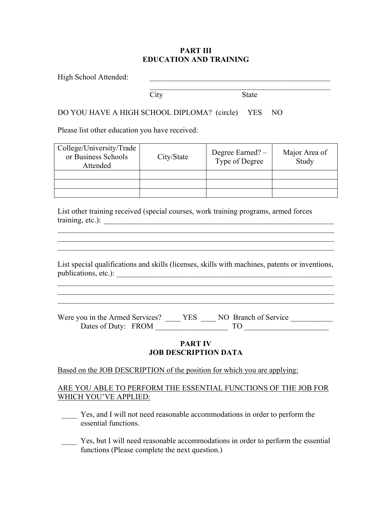### **PART III EDUCATION AND TRAINING**

 $\_$ 

High School Attended:

City State

## DO YOU HAVE A HIGH SCHOOL DIPLOMA? (circle) YES NO

Please list other education you have received:

| College/University/Trade<br>or Business Schools<br>Attended | City/State | Degree Earned? -<br>Type of Degree | Major Area of<br>Study |
|-------------------------------------------------------------|------------|------------------------------------|------------------------|
|                                                             |            |                                    |                        |
|                                                             |            |                                    |                        |
|                                                             |            |                                    |                        |

List other training received (special courses, work training programs, armed forces training, etc.): \_\_\_\_\_\_\_\_\_\_\_\_\_\_\_\_\_\_\_\_\_\_\_\_\_\_\_\_\_\_\_\_\_\_\_\_\_\_\_\_\_\_\_\_\_\_\_\_\_\_\_\_\_\_\_\_\_\_\_\_

List special qualifications and skills (licenses, skills with machines, patents or inventions, publications, etc.):

 $\mathcal{L}_\text{max} = \mathcal{L}_\text{max} = \mathcal{L}_\text{max} = \mathcal{L}_\text{max} = \mathcal{L}_\text{max} = \mathcal{L}_\text{max} = \mathcal{L}_\text{max} = \mathcal{L}_\text{max} = \mathcal{L}_\text{max} = \mathcal{L}_\text{max} = \mathcal{L}_\text{max} = \mathcal{L}_\text{max} = \mathcal{L}_\text{max} = \mathcal{L}_\text{max} = \mathcal{L}_\text{max} = \mathcal{L}_\text{max} = \mathcal{L}_\text{max} = \mathcal{L}_\text{max} = \mathcal{$ 

 $\mathcal{L}_\text{max}$  , and the contribution of the contribution of the contribution of the contribution of the contribution of the contribution of the contribution of the contribution of the contribution of the contribution of t  $\mathcal{L}_\text{max}$  $\mathcal{L}_\text{max} = \mathcal{L}_\text{max} = \mathcal{L}_\text{max} = \mathcal{L}_\text{max} = \mathcal{L}_\text{max} = \mathcal{L}_\text{max} = \mathcal{L}_\text{max} = \mathcal{L}_\text{max} = \mathcal{L}_\text{max} = \mathcal{L}_\text{max} = \mathcal{L}_\text{max} = \mathcal{L}_\text{max} = \mathcal{L}_\text{max} = \mathcal{L}_\text{max} = \mathcal{L}_\text{max} = \mathcal{L}_\text{max} = \mathcal{L}_\text{max} = \mathcal{L}_\text{max} = \mathcal{$ 

Were you in the Armed Services? \_\_\_\_ YES \_\_\_ NO Branch of Service \_\_\_\_\_\_\_\_\_\_\_\_\_\_ Dates of Duty: FROM TO TO

## **PART IV JOB DESCRIPTION DATA**

### Based on the JOB DESCRIPTION of the position for which you are applying:

## ARE YOU ABLE TO PERFORM THE ESSENTIAL FUNCTIONS OF THE JOB FOR WHICH YOU'VE APPLIED:

Yes, and I will not need reasonable accommodations in order to perform the essential functions.

\_\_\_\_ Yes, but I will need reasonable accommodations in order to perform the essential functions (Please complete the next question.)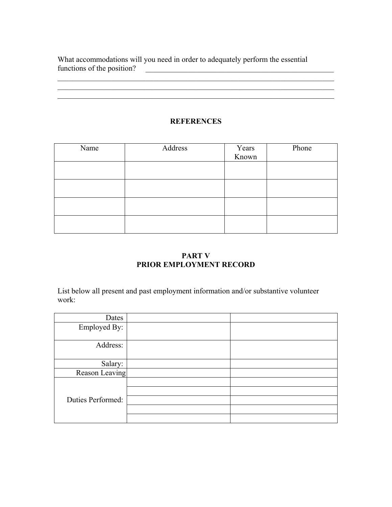What accommodations will you need in order to adequately perform the essential functions of the position? functions of the positions of the position  $\mathcal{L}_1$  ,  $\mathcal{L}_2$  ,  $\mathcal{L}_3$  ,  $\mathcal{L}_4$  ,  $\mathcal{L}_5$  ,  $\mathcal{L}_6$  ,  $\mathcal{L}_7$  ,  $\mathcal{L}_8$  ,  $\mathcal{L}_9$  ,  $\mathcal{L}_8$  ,  $\mathcal{L}_9$  ,  $\mathcal{L}_9$  ,  $\mathcal{L}_8$  ,  $\mathcal{L}_9$  ,  $\mathcal{L}_9$ 

# **REFERENCES**

 $\mathcal{L}_\text{max}$ 

 $\mathcal{L}_\text{max} = \frac{1}{2} \sum_{i=1}^{n} \frac{1}{2} \sum_{i=1}^{n} \frac{1}{2} \sum_{i=1}^{n} \frac{1}{2} \sum_{i=1}^{n} \frac{1}{2} \sum_{i=1}^{n} \frac{1}{2} \sum_{i=1}^{n} \frac{1}{2} \sum_{i=1}^{n} \frac{1}{2} \sum_{i=1}^{n} \frac{1}{2} \sum_{i=1}^{n} \frac{1}{2} \sum_{i=1}^{n} \frac{1}{2} \sum_{i=1}^{n} \frac{1}{2} \sum_{i=1}^{n} \frac{1$ 

| Name | Address | Years<br>Known | Phone |
|------|---------|----------------|-------|
|      |         |                |       |
|      |         |                |       |
|      |         |                |       |
|      |         |                |       |
|      |         |                |       |
|      |         |                |       |
|      |         |                |       |
|      |         |                |       |
|      |         |                |       |

# **PART V PRIOR EMPLOYMENT RECORD**

List below all present and past employment information and/or substantive volunteer work:

| Dates             |  |
|-------------------|--|
| Employed By:      |  |
|                   |  |
| Address:          |  |
|                   |  |
| Salary:           |  |
| Reason Leaving    |  |
|                   |  |
|                   |  |
| Duties Performed: |  |
|                   |  |
|                   |  |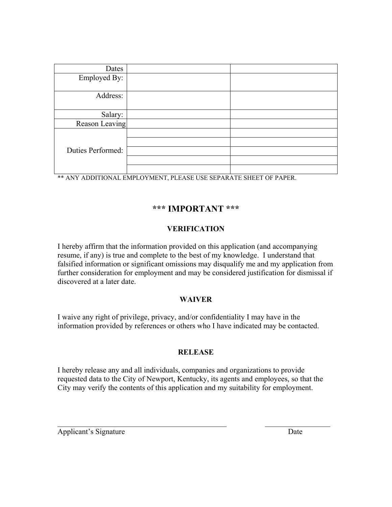| Dates             |  |
|-------------------|--|
| Employed By:      |  |
|                   |  |
| Address:          |  |
|                   |  |
| Salary:           |  |
| Reason Leaving    |  |
|                   |  |
|                   |  |
| Duties Performed: |  |
|                   |  |
|                   |  |

\*\* ANY ADDITIONAL EMPLOYMENT, PLEASE USE SEPARATE SHEET OF PAPER.

# **\*\*\* IMPORTANT \*\*\***

# **VERIFICATION**

I hereby affirm that the information provided on this application (and accompanying resume, if any) is true and complete to the best of my knowledge. I understand that falsified information or significant omissions may disqualify me and my application from further consideration for employment and may be considered justification for dismissal if discovered at a later date.

## **WAIVER**

I waive any right of privilege, privacy, and/or confidentiality I may have in the information provided by references or others who I have indicated may be contacted.

### **RELEASE**

I hereby release any and all individuals, companies and organizations to provide requested data to the City of Newport, Kentucky, its agents and employees, so that the City may verify the contents of this application and my suitability for employment.

 $\_$  , and the contribution of the contribution of  $\mathcal{L}_\mathcal{A}$  , and the contribution of  $\mathcal{L}_\mathcal{A}$ 

Applicant's Signature Date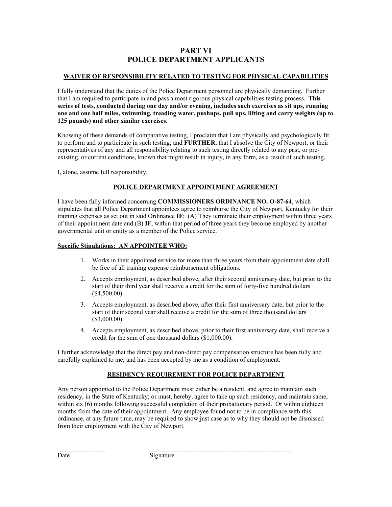## **PART VI POLICE DEPARTMENT APPLICANTS**

#### **WAIVER OF RESPONSIBILITY RELATED TO TESTING FOR PHYSICAL CAPABILITIES**

I fully understand that the duties of the Police Department personnel are physically demanding. Further that I am required to participate in and pass a most rigorous physical capabilities testing process. **This series of tests, conducted during one day and/or evening, includes such exercises as sit ups, running one and one half miles, swimming, treading water, pushups, pull ups, lifting and carry weights (up to 125 pounds) and other similar exercises.** 

Knowing of these demands of comparative testing, I proclaim that I am physically and psychologically fit to perform and to participate in such testing; and **FURTHER**, that I absolve the City of Newport, or their representatives of any and all responsibility relating to such testing directly related to any past, or preexisting, or current conditions, known that might result in injury, in any form, as a result of such testing.

I, alone, assume full responsibility.

#### **POLICE DEPARTMENT APPOINTMENT AGREEMENT**

I have been fully informed concerning **COMMISSIONERS ORDINANCE NO. O-87-64**, which stipulates that all Police Department appointees agree to reimburse the City of Newport, Kentucky for their training expenses as set out in said Ordinance **IF**: (A) They terminate their employment within three years of their appointment date and (B) **IF**, within that period of three years they become employed by another governmental unit or entity as a member of the Police service.

#### **Specific Stipulations: AN APPOINTEE WHO:**

- 1. Works in their appointed service for more than three years from their appointment date shall be free of all training expense reimbursement obligations.
- 2. Accepts employment, as described above, after their second anniversary date, but prior to the start of their third year shall receive a credit for the sum of forty-five hundred dollars (\$4,500.00).
- 3. Accepts employment, as described above, after their first anniversary date, but prior to the start of their second year shall receive a credit for the sum of three thousand dollars (\$3,000.00).
- 4. Accepts employment, as described above, prior to their first anniversary date, shall receive a credit for the sum of one thousand dollars (\$1,000.00).

I further acknowledge that the direct pay and non-direct pay compensation structure has been fully and carefully explained to me; and has been accepted by me as a condition of employment.

#### **RESIDENCY REQUIREMENT FOR POLICE DEPARTMENT**

Any person appointed to the Police Department must either be a resident, and agree to maintain such residency, in the State of Kentucky; or must, hereby, agree to take up such residency, and maintain same, within six (6) months following successful completion of their probationary period. Or within eighteen months from the date of their appointment. Any employee found not to be in compliance with this ordinance, at any future time, may be required to show just case as to why they should not be dismissed from their employment with the City of Newport.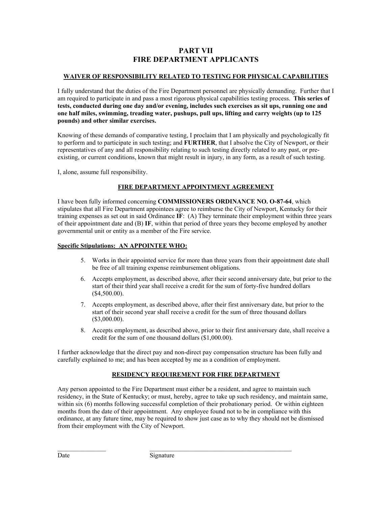## **PART VII FIRE DEPARTMENT APPLICANTS**

#### **WAIVER OF RESPONSIBILITY RELATED TO TESTING FOR PHYSICAL CAPABILITIES**

I fully understand that the duties of the Fire Department personnel are physically demanding. Further that I am required to participate in and pass a most rigorous physical capabilities testing process. **This series of tests, conducted during one day and/or evening, includes such exercises as sit ups, running one and one half miles, swimming, treading water, pushups, pull ups, lifting and carry weights (up to 125 pounds) and other similar exercises.** 

Knowing of these demands of comparative testing, I proclaim that I am physically and psychologically fit to perform and to participate in such testing; and **FURTHER**, that I absolve the City of Newport, or their representatives of any and all responsibility relating to such testing directly related to any past, or preexisting, or current conditions, known that might result in injury, in any form, as a result of such testing.

I, alone, assume full responsibility.

#### **FIRE DEPARTMENT APPOINTMENT AGREEMENT**

I have been fully informed concerning **COMMISSIONERS ORDINANCE NO. O-87-64**, which stipulates that all Fire Department appointees agree to reimburse the City of Newport, Kentucky for their training expenses as set out in said Ordinance **IF**: (A) They terminate their employment within three years of their appointment date and (B) **IF**, within that period of three years they become employed by another governmental unit or entity as a member of the Fire service.

#### **Specific Stipulations: AN APPOINTEE WHO:**

- 5. Works in their appointed service for more than three years from their appointment date shall be free of all training expense reimbursement obligations.
- 6. Accepts employment, as described above, after their second anniversary date, but prior to the start of their third year shall receive a credit for the sum of forty-five hundred dollars (\$4,500.00).
- 7. Accepts employment, as described above, after their first anniversary date, but prior to the start of their second year shall receive a credit for the sum of three thousand dollars (\$3,000.00).
- 8. Accepts employment, as described above, prior to their first anniversary date, shall receive a credit for the sum of one thousand dollars (\$1,000.00).

I further acknowledge that the direct pay and non-direct pay compensation structure has been fully and carefully explained to me; and has been accepted by me as a condition of employment.

#### **RESIDENCY REQUIREMENT FOR FIRE DEPARTMENT**

Any person appointed to the Fire Department must either be a resident, and agree to maintain such residency, in the State of Kentucky; or must, hereby, agree to take up such residency, and maintain same, within six (6) months following successful completion of their probationary period. Or within eighteen months from the date of their appointment. Any employee found not to be in compliance with this ordinance, at any future time, may be required to show just case as to why they should not be dismissed from their employment with the City of Newport.